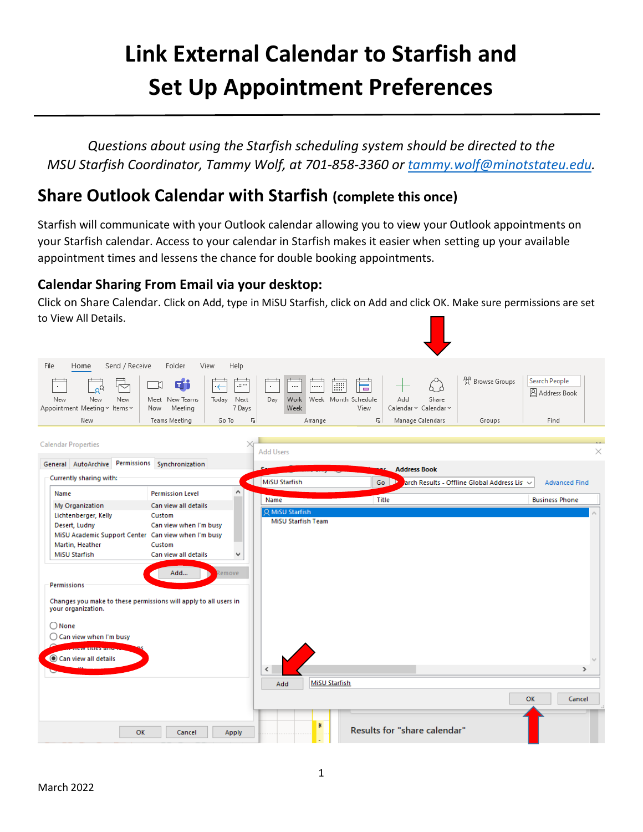# **Link External Calendar to Starfish and Set Up Appointment Preferences**

*Questions about using the Starfish scheduling system should be directed to the MSU Starfish Coordinator, Tammy Wolf, at 701-858-3360 or [tammy.wolf@minotstateu.edu.](mailto:tammy.wolf@minotstateu.edu)*

## **Share Outlook Calendar with Starfish (complete this once)**

Starfish will communicate with your Outlook calendar allowing you to view your Outlook appointments on your Starfish calendar. Access to your calendar in Starfish makes it easier when setting up your available appointment times and lessens the chance for double booking appointments.

#### **Calendar Sharing From Email via your desktop:**

Click on Share Calendar. Click on Add, type in MiSU Starfish, click on Add and click OK. Make sure permissions are set to View All Details.

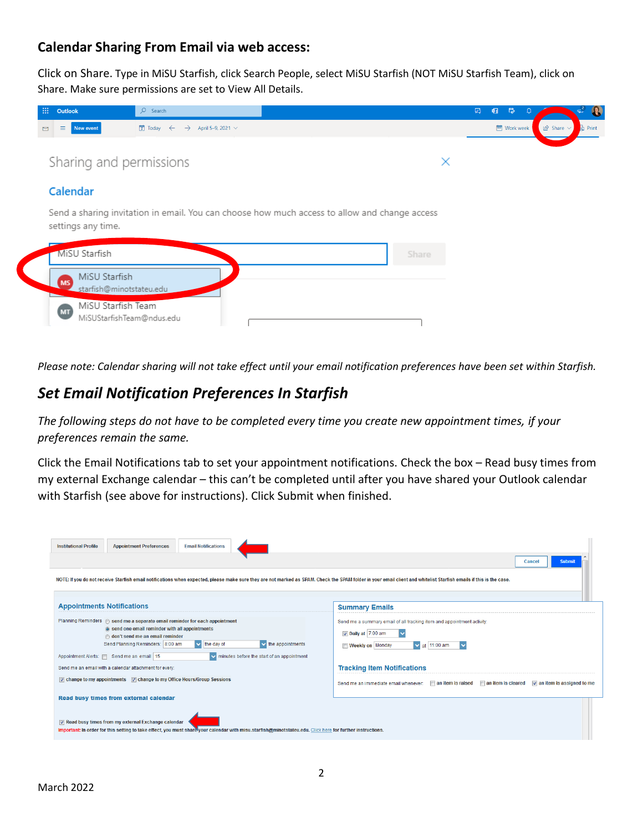#### **Calendar Sharing From Email via web access:**

Click on Share. Type in MiSU Starfish, click Search People, select MiSU Starfish (NOT MiSU Starfish Team), click on Share. Make sure permissions are set to View All Details.



*Please note: Calendar sharing will not take effect until your email notification preferences have been set within Starfish.*

### *Set Email Notification Preferences In Starfish*

*The following steps do not have to be completed every time you create new appointment times, if your preferences remain the same.*

Click the Email Notifications tab to set your appointment notifications. Check the box – Read busy times from my external Exchange calendar – this can't be completed until after you have shared your Outlook calendar with Starfish (see above for instructions). Click Submit when finished.

| <b>Institutional Profile</b><br><b>Appointment Preferences</b><br><b>Email Notifications</b>                                                                                                                                                                                                                                                                                           | Submit<br><b>Cancel</b>                                                                                                                               |  |  |  |
|----------------------------------------------------------------------------------------------------------------------------------------------------------------------------------------------------------------------------------------------------------------------------------------------------------------------------------------------------------------------------------------|-------------------------------------------------------------------------------------------------------------------------------------------------------|--|--|--|
| NOTE: If you do not receive Starfish email notifications when expected, please make sure they are not marked as SPAM. Check the SPAM folder in your email client and whitelist Starfish emails if this is the case.                                                                                                                                                                    |                                                                                                                                                       |  |  |  |
| <b>Appointments Notifications</b>                                                                                                                                                                                                                                                                                                                                                      | <b>Summary Emails</b>                                                                                                                                 |  |  |  |
| Planning Reminders  send me a separate email reminder for each appointment<br>send one email reminder with all appointments<br>o don't send me an email reminder<br>Send Planning Reminders: 8:00 am<br>$\blacktriangleright$ the appointments<br>$\overline{\mathbf{v}}$<br>the day of<br>Appointment Alerts:   Send me an email   15<br>v minutes before the start of an appointment | Send me a summary email of all tracking item and appointment activity:<br>Daily at 7:00 am<br><b>Weekly on Monday</b><br>$\triangleright$ at 11:00 am |  |  |  |
| Send me an email with a calendar attachment for every:                                                                                                                                                                                                                                                                                                                                 | <b>Tracking Item Notifications</b>                                                                                                                    |  |  |  |
| $\triangledown$ change to my appointments $\triangledown$ change to my Office Hours/Group Sessions                                                                                                                                                                                                                                                                                     | $\triangledown$ an item is assigned to me<br>an item is raised<br>an item is cleared<br>Send me an immediate email whenever:                          |  |  |  |
| Read busy times from external calendar                                                                                                                                                                                                                                                                                                                                                 |                                                                                                                                                       |  |  |  |
| Read busy times from my external Exchange calendar<br>Important: In order for this setting to take effect, you must share your calendar with misu.starfish@minotstateu.edu. Click here for further instructions.                                                                                                                                                                       |                                                                                                                                                       |  |  |  |